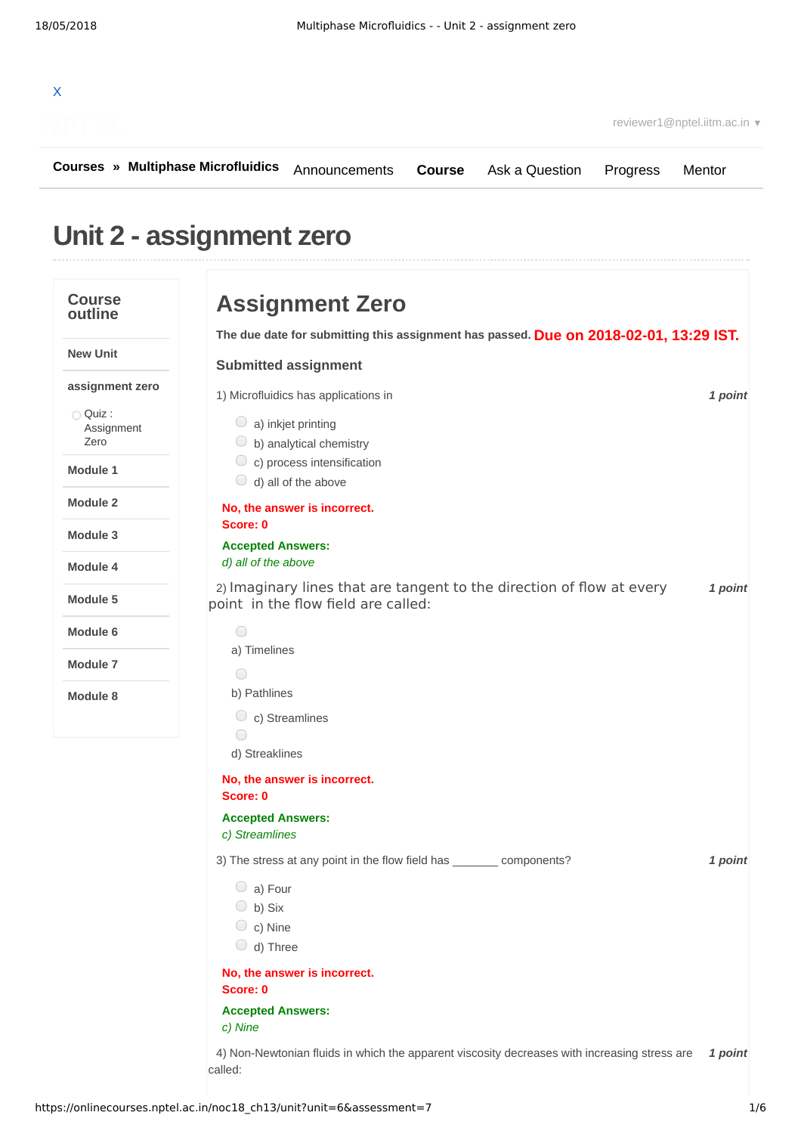| reviewer1@nptel.iitm.ac.in ▼              |                                                 |                                                                                                                      |               |                |          |         |
|-------------------------------------------|-------------------------------------------------|----------------------------------------------------------------------------------------------------------------------|---------------|----------------|----------|---------|
| <b>Courses » Multiphase Microfluidics</b> |                                                 | Announcements                                                                                                        | <b>Course</b> | Ask a Question | Progress | Mentor  |
| Unit 2 - assignment zero                  |                                                 |                                                                                                                      |               |                |          |         |
| <b>Course</b><br>outline                  |                                                 | <b>Assignment Zero</b>                                                                                               |               |                |          |         |
| <b>New Unit</b>                           |                                                 | The due date for submitting this assignment has passed. Due on 2018-02-01, 13:29 IST.<br><b>Submitted assignment</b> |               |                |          |         |
| assignment zero                           |                                                 | 1) Microfluidics has applications in                                                                                 |               |                |          | 1 point |
| O Quiz:<br>Assignment<br>Zero             | $\bigcirc$ a) inkjet printing                   | $\circ$ b) analytical chemistry                                                                                      |               |                |          |         |
| Module 1                                  |                                                 | $\circ$ c) process intensification<br>$\bigcirc$ d) all of the above                                                 |               |                |          |         |
| Module 2                                  |                                                 | No, the answer is incorrect.                                                                                         |               |                |          |         |
| Module 3                                  | Score: 0                                        |                                                                                                                      |               |                |          |         |
| Module 4                                  | <b>Accepted Answers:</b><br>d) all of the above |                                                                                                                      |               |                |          |         |
| Module 5                                  |                                                 | 2) Imaginary lines that are tangent to the direction of flow at every<br>point in the flow field are called:         |               |                |          | 1 point |
|                                           |                                                 |                                                                                                                      |               |                |          |         |
| Module 6                                  | $\bigcirc$<br>a) Timelines                      |                                                                                                                      |               |                |          |         |

**Module 8**

b) Pathlines  $\circ$  c) Streamlines  $\bigcirc$ d) Streaklines **No, the answer is incorrect. Score: 0 Accepted Answers:** *c) Streamlines* 3) *1 point* The stress at any point in the flow field has \_\_\_\_\_\_\_ components? a) Four b) Six  $\circ$  c) Nine  $\bigcirc$  d) Three **No, the answer is incorrect. Score: 0**

#### **Accepted Answers:**

*c) Nine*

4) Non-Newtonian fluids in which the apparent viscosity decreases with increasing stress are 1 point called: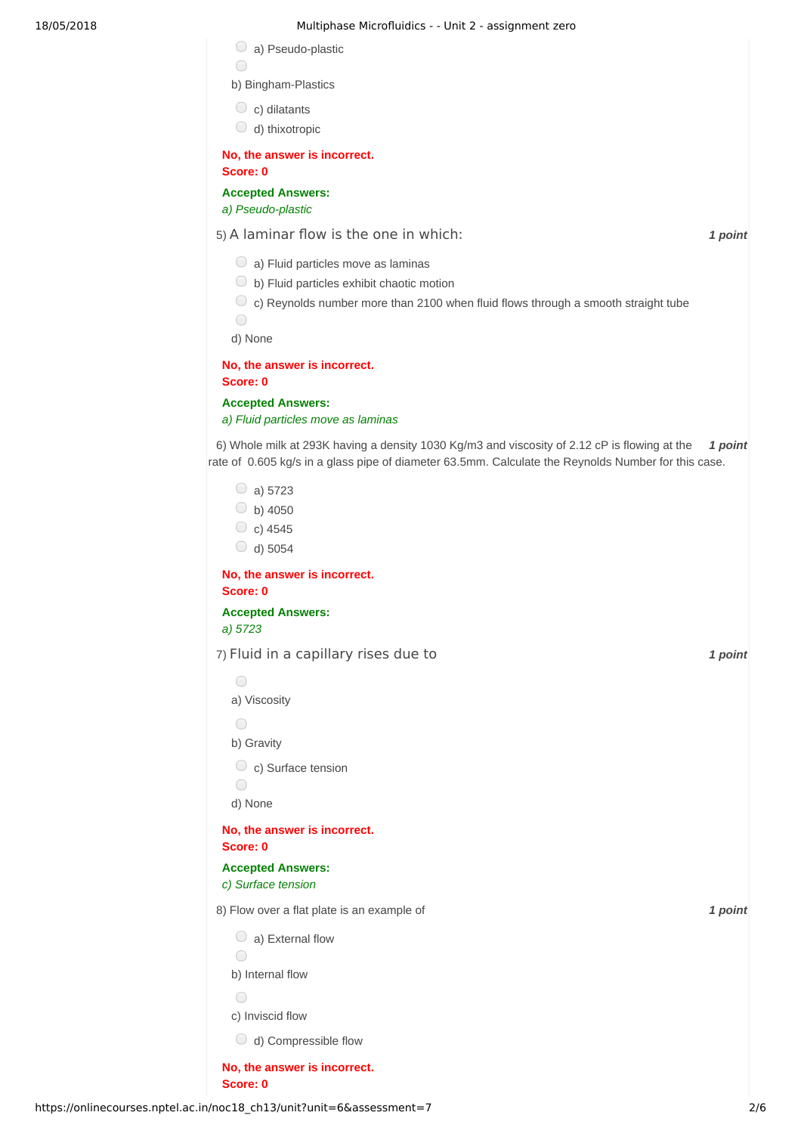#### 18/05/2018 Multiphase Microfluidics - - Unit 2 - assignment zero

|  | a) Pseudo-plastic |  |
|--|-------------------|--|
|--|-------------------|--|

- $\bigcirc$
- b) Bingham-Plastics
- $\circ$  c) dilatants
- $\bigcirc$  d) thixotropic

**No, the answer is incorrect. Score: 0**

**Accepted Answers:** *a) Pseudo-plastic*

5) *1 point* A laminar flow is the one in which:

- $\bigcirc$  a) Fluid particles move as laminas
- $\bigcirc$  b) Fluid particles exhibit chaotic motion
- $\circlearrowright$  c) Reynolds number more than 2100 when fluid flows through a smooth straight tube

 $\bigcirc$ 

d) None

**No, the answer is incorrect. Score: 0**

**Accepted Answers:** *a) Fluid particles move as laminas*

6) Whole milk at 293K having a density 1030 Kg/m3 and viscosity of 2.12 cP is flowing at the **1 point** rate of 0.605 kg/s in a glass pipe of diameter 63.5mm. Calculate the Reynolds Number for this case.

 $\circ$  a) 5723  $\bigcirc$  b) 4050  $\circ$  c) 4545  $\bigcirc$  d) 5054

**No, the answer is incorrect. Score: 0 Accepted Answers:**

*a) 5723*

7) *1 point* Fluid in a capillary rises due to

 $\bigcap$ a) Viscosity

b) Gravity

 $\bigcirc$ 

 $\circ$  c) Surface tension

 $\bigcirc$ d) None

**No, the answer is incorrect. Score: 0**

**Accepted Answers:** *c) Surface tension*

8) *1 point* Flow over a flat plate is an example of

 $\bigcirc$  a) External flow

 $\bigcirc$ 

b) Internal flow

 $\bigcap$ 

c) Inviscid flow

d) Compressible flow

**No, the answer is incorrect. Score: 0**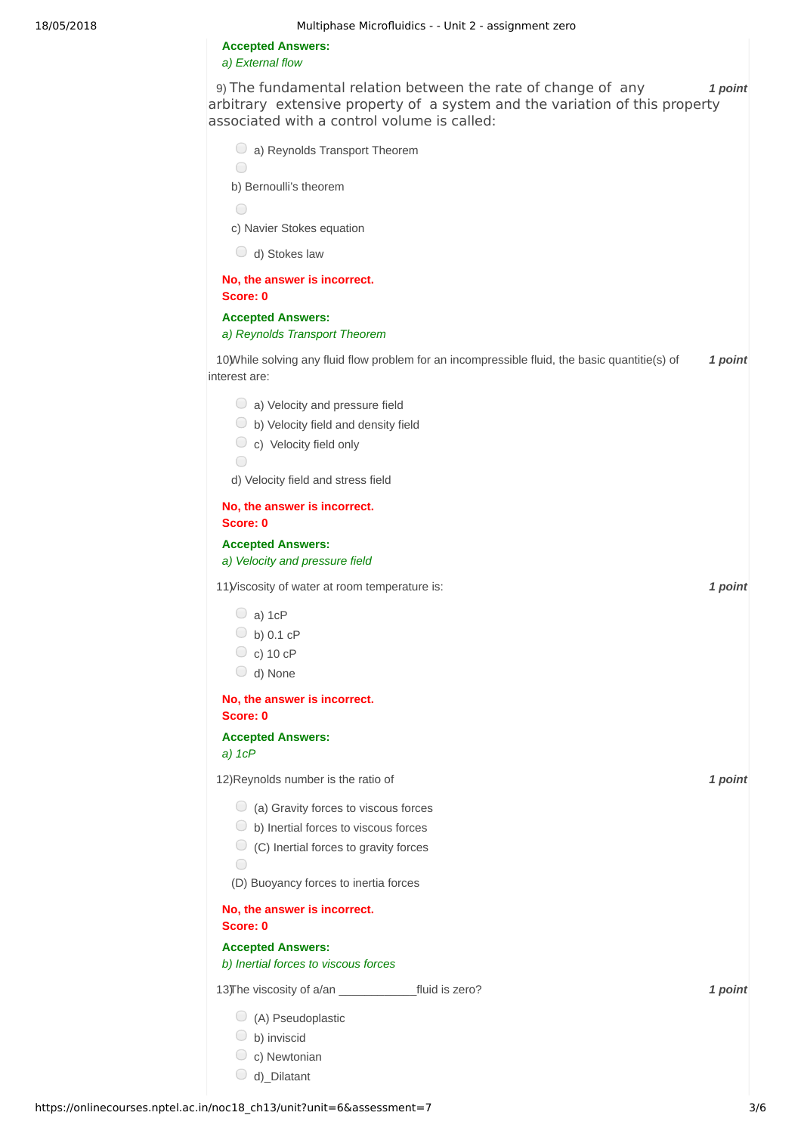**Accepted Answers:** *a) External flow*

9) *1 point* The fundamental relation between the rate of change of any arbitrary extensive property of a system and the variation of this property associated with a control volume is called:

| associated with a control volunie is called.                                                                     |         |
|------------------------------------------------------------------------------------------------------------------|---------|
| $\bigcirc$ a) Reynolds Transport Theorem                                                                         |         |
| $\bigcirc$                                                                                                       |         |
| b) Bernoulli's theorem                                                                                           |         |
| $\bigcirc$                                                                                                       |         |
| c) Navier Stokes equation                                                                                        |         |
| $\bigcirc$ d) Stokes law                                                                                         |         |
| No, the answer is incorrect.<br>Score: 0                                                                         |         |
| <b>Accepted Answers:</b>                                                                                         |         |
| a) Reynolds Transport Theorem                                                                                    |         |
| 10) While solving any fluid flow problem for an incompressible fluid, the basic quantitie(s) of<br>interest are: | 1 point |
| $\bigcirc$ a) Velocity and pressure field                                                                        |         |
| $\bigcirc$ b) Velocity field and density field                                                                   |         |
| $\circ$ c) Velocity field only<br>$\bigcirc$                                                                     |         |
| d) Velocity field and stress field                                                                               |         |
| No, the answer is incorrect.<br>Score: 0                                                                         |         |
| <b>Accepted Answers:</b>                                                                                         |         |
| a) Velocity and pressure field                                                                                   |         |
| 11) Viscosity of water at room temperature is:                                                                   | 1 point |
| $\bigcirc$ a) 1cP                                                                                                |         |
| $\bigcirc$ b) 0.1 cP                                                                                             |         |
| $\circ$ c) 10 cP                                                                                                 |         |
| $\bigcirc$ d) None                                                                                               |         |
| No, the answer is incorrect.<br>Score: 0                                                                         |         |
| <b>Accepted Answers:</b><br>$a)$ 1 $cP$                                                                          |         |
| 12) Reynolds number is the ratio of                                                                              | 1 point |
| $\bigcirc$ (a) Gravity forces to viscous forces                                                                  |         |
| $\bigcirc$ b) Inertial forces to viscous forces                                                                  |         |
| $\bigcirc$ (C) Inertial forces to gravity forces<br>$\bigcirc$                                                   |         |
| (D) Buoyancy forces to inertia forces                                                                            |         |
| No, the answer is incorrect.<br>Score: 0                                                                         |         |
| <b>Accepted Answers:</b>                                                                                         |         |
| b) Inertial forces to viscous forces                                                                             |         |
|                                                                                                                  | 1 point |
| $\bigcirc$ (A) Pseudoplastic                                                                                     |         |
| b) inviscid                                                                                                      |         |
| $\circ$ c) Newtonian                                                                                             |         |
| $\bigcirc$ d)_Dilatant                                                                                           |         |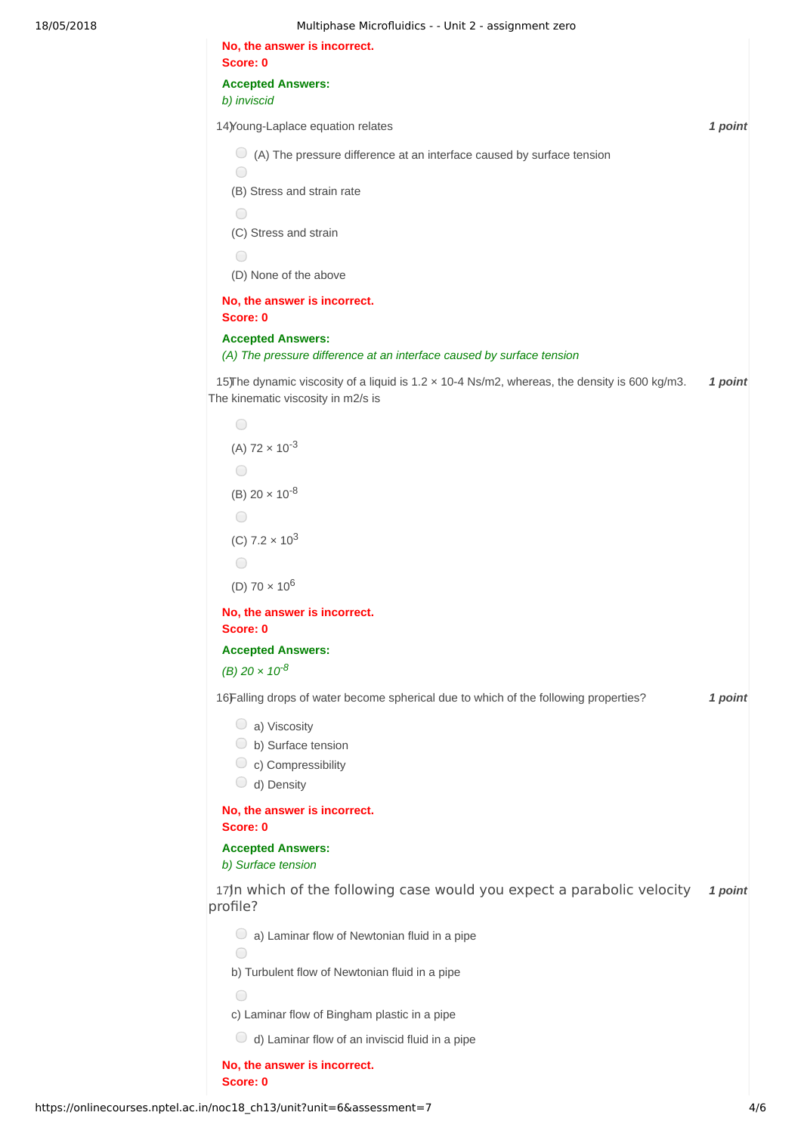## 18/05/2018 Multiphase Microfluidics - - Unit 2 - assignment zero

| No, the answer is incorrect.<br>Score: 0                                                                                            |         |
|-------------------------------------------------------------------------------------------------------------------------------------|---------|
| <b>Accepted Answers:</b>                                                                                                            |         |
| b) inviscid                                                                                                                         |         |
| 14) Young-Laplace equation relates                                                                                                  | 1 point |
| $\circ$ (A) The pressure difference at an interface caused by surface tension<br>$\bigcirc$                                         |         |
| (B) Stress and strain rate                                                                                                          |         |
| $\bigcirc$                                                                                                                          |         |
| (C) Stress and strain                                                                                                               |         |
| $\bigcirc$<br>(D) None of the above                                                                                                 |         |
| No, the answer is incorrect.                                                                                                        |         |
| Score: 0                                                                                                                            |         |
| <b>Accepted Answers:</b><br>(A) The pressure difference at an interface caused by surface tension                                   |         |
| 15) The dynamic viscosity of a liquid is 1.2 × 10-4 Ns/m2, whereas, the density is 600 kg/m3.<br>The kinematic viscosity in m2/s is | 1 point |
| $\bigcirc$                                                                                                                          |         |
| (A) $72 \times 10^{-3}$                                                                                                             |         |
| O                                                                                                                                   |         |
| (B) $20 \times 10^{-8}$                                                                                                             |         |
| ◯                                                                                                                                   |         |
| (C) $7.2 \times 10^3$                                                                                                               |         |
| $\bigcirc$                                                                                                                          |         |
| (D) $70 \times 10^6$                                                                                                                |         |
| No, the answer is incorrect.<br>Score: 0                                                                                            |         |
| <b>Accepted Answers:</b>                                                                                                            |         |
| (B) $20 \times 10^{-8}$                                                                                                             |         |
| 16Falling drops of water become spherical due to which of the following properties?                                                 | 1 point |
| $\bigcirc$ a) Viscosity                                                                                                             |         |
| $\bigcirc$ b) Surface tension<br>$\circ$ c) Compressibility                                                                         |         |
| $\bigcirc$ d) Density                                                                                                               |         |
| No, the answer is incorrect.<br>Score: 0                                                                                            |         |
| <b>Accepted Answers:</b><br>b) Surface tension                                                                                      |         |
| 17)n which of the following case would you expect a parabolic velocity<br>profile?                                                  | 1 point |
| $\bigcirc$ a) Laminar flow of Newtonian fluid in a pipe<br>∩                                                                        |         |
| b) Turbulent flow of Newtonian fluid in a pipe                                                                                      |         |
| ◯                                                                                                                                   |         |
| c) Laminar flow of Bingham plastic in a pipe                                                                                        |         |
| $\bigcirc$ d) Laminar flow of an inviscid fluid in a pipe                                                                           |         |
| No, the answer is incorrect.<br>Score: 0                                                                                            |         |
|                                                                                                                                     |         |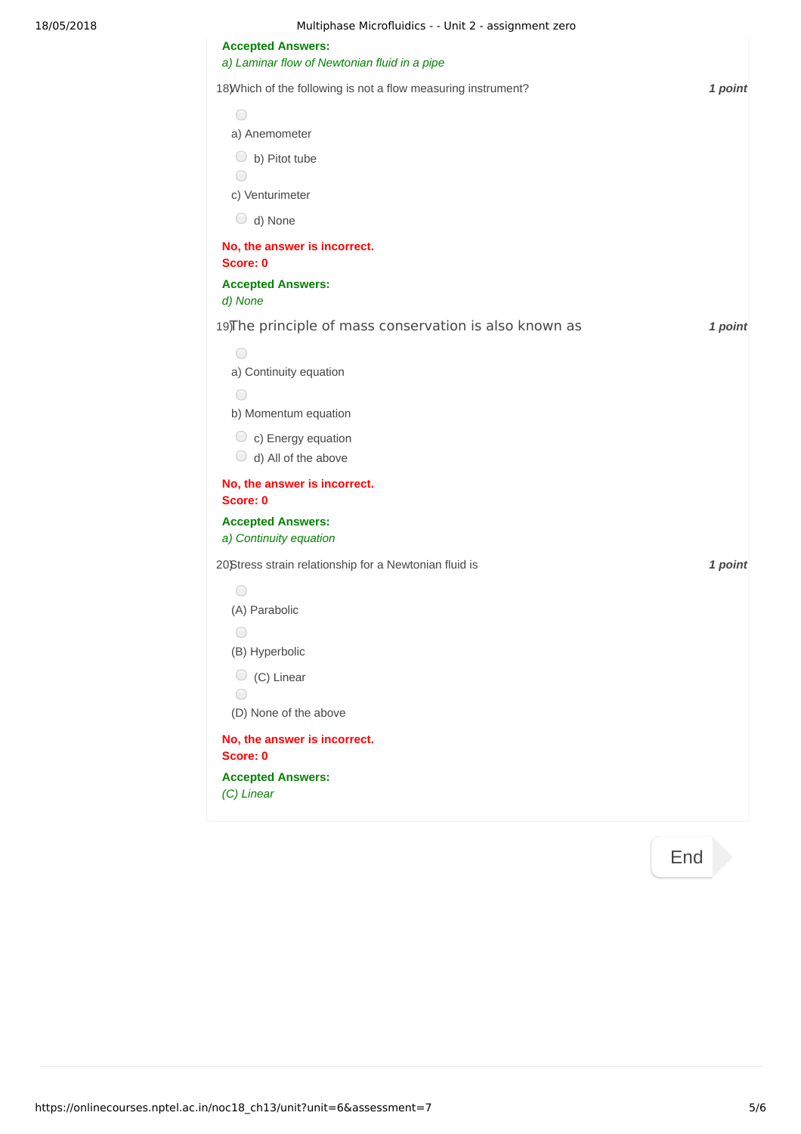| 18/05/2018 | Multiphase Microfluidics - - Unit 2 - assignment zero          |         |
|------------|----------------------------------------------------------------|---------|
|            | <b>Accepted Answers:</b>                                       |         |
|            | a) Laminar flow of Newtonian fluid in a pipe                   |         |
|            | 18) Which of the following is not a flow measuring instrument? | 1 point |
|            | $\bigcirc$                                                     |         |
|            | a) Anemometer                                                  |         |
|            | $\bigcirc$ b) Pitot tube<br>$\bigcirc$                         |         |
|            | c) Venturimeter                                                |         |
|            | $\bigcirc$ d) None                                             |         |
|            | No, the answer is incorrect.                                   |         |
|            | Score: 0                                                       |         |
|            | <b>Accepted Answers:</b><br>d) None                            |         |
|            | 19) The principle of mass conservation is also known as        | 1 point |
|            | $\bigcirc$                                                     |         |
|            | a) Continuity equation                                         |         |
|            | $\bigcirc$                                                     |         |
|            | b) Momentum equation                                           |         |
|            | $\circ$ c) Energy equation                                     |         |
|            | $\bigcirc$ d) All of the above                                 |         |
|            | No, the answer is incorrect.<br>Score: 0                       |         |
|            | <b>Accepted Answers:</b><br>a) Continuity equation             |         |
|            | 20)Stress strain relationship for a Newtonian fluid is         | 1 point |
|            | $\bigcirc$                                                     |         |
|            | (A) Parabolic                                                  |         |
|            | $\bigcirc$                                                     |         |
|            | (B) Hyperbolic                                                 |         |
|            | $\circ$ (C) Linear                                             |         |
|            | $\bigcirc$<br>(D) None of the above                            |         |
|            |                                                                |         |
|            | No, the answer is incorrect.<br>Score: 0                       |         |
|            | <b>Accepted Answers:</b>                                       |         |
|            | (C) Linear                                                     |         |
|            |                                                                |         |

[End](https://onlinecourses.nptel.ac.in/noc18_ch13/course)